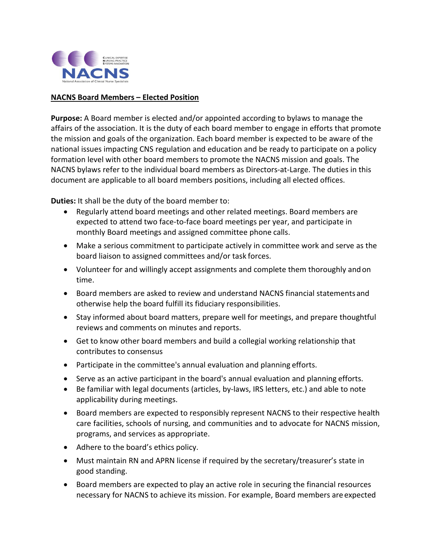

## **NACNS Board Members – Elected Position**

**Purpose:** A Board member is elected and/or appointed according to bylaws to manage the affairs of the association. It is the duty of each board member to engage in efforts that promote the mission and goals of the organization. Each board member is expected to be aware of the national issues impacting CNS regulation and education and be ready to participate on a policy formation level with other board members to promote the NACNS mission and goals. The NACNS bylaws refer to the individual board members as Directors-at-Large. The duties in this document are applicable to all board members positions, including all elected offices.

**Duties:** It shall be the duty of the board member to:

- Regularly attend board meetings and other related meetings. Board members are expected to attend two face-to-face board meetings per year, and participate in monthly Board meetings and assigned committee phone calls.
- Make a serious commitment to participate actively in committee work and serve as the board liaison to assigned committees and/or task forces.
- Volunteer for and willingly accept assignments and complete them thoroughly andon time.
- Board members are asked to review and understand NACNS financial statementsand otherwise help the board fulfill its fiduciary responsibilities.
- Stay informed about board matters, prepare well for meetings, and prepare thoughtful reviews and comments on minutes and reports.
- Get to know other board members and build a collegial working relationship that contributes to consensus
- Participate in the committee's annual evaluation and planning efforts.
- Serve as an active participant in the board's annual evaluation and planning efforts.
- Be familiar with legal documents (articles, by-laws, IRS letters, etc.) and able to note applicability during meetings.
- Board members are expected to responsibly represent NACNS to their respective health care facilities, schools of nursing, and communities and to advocate for NACNS mission, programs, and services as appropriate.
- Adhere to the board's ethics policy.
- Must maintain RN and APRN license if required by the secretary/treasurer's state in good standing.
- Board members are expected to play an active role in securing the financial resources necessary for NACNS to achieve its mission. For example, Board members areexpected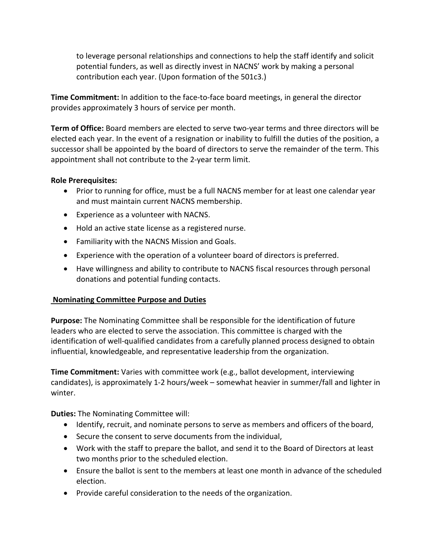to leverage personal relationships and connections to help the staff identify and solicit potential funders, as well as directly invest in NACNS' work by making a personal contribution each year. (Upon formation of the 501c3.)

**Time Commitment:** In addition to the face-to-face board meetings, in general the director provides approximately 3 hours of service per month.

**Term of Office:** Board members are elected to serve two-year terms and three directors will be elected each year. In the event of a resignation or inability to fulfill the duties of the position, a successor shall be appointed by the board of directors to serve the remainder of the term. This appointment shall not contribute to the 2-year term limit.

## **Role Prerequisites:**

- Prior to running for office, must be a full NACNS member for at least one calendar year and must maintain current NACNS membership.
- Experience as a volunteer with NACNS.
- Hold an active state license as a registered nurse.
- Familiarity with the NACNS Mission and Goals.
- Experience with the operation of a volunteer board of directors is preferred.
- Have willingness and ability to contribute to NACNS fiscal resources through personal donations and potential funding contacts.

## **Nominating Committee Purpose and Duties**

**Purpose:** The Nominating Committee shall be responsible for the identification of future leaders who are elected to serve the association. This committee is charged with the identification of well-qualified candidates from a carefully planned process designed to obtain influential, knowledgeable, and representative leadership from the organization.

**Time Commitment:** Varies with committee work (e.g., ballot development, interviewing candidates), is approximately 1-2 hours/week – somewhat heavier in summer/fall and lighter in winter.

**Duties:** The Nominating Committee will:

- Identify, recruit, and nominate persons to serve as members and officers of the board,
- Secure the consent to serve documents from the individual,
- Work with the staff to prepare the ballot, and send it to the Board of Directors at least two months prior to the scheduled election.
- Ensure the ballot is sent to the members at least one month in advance of the scheduled election.
- Provide careful consideration to the needs of the organization.